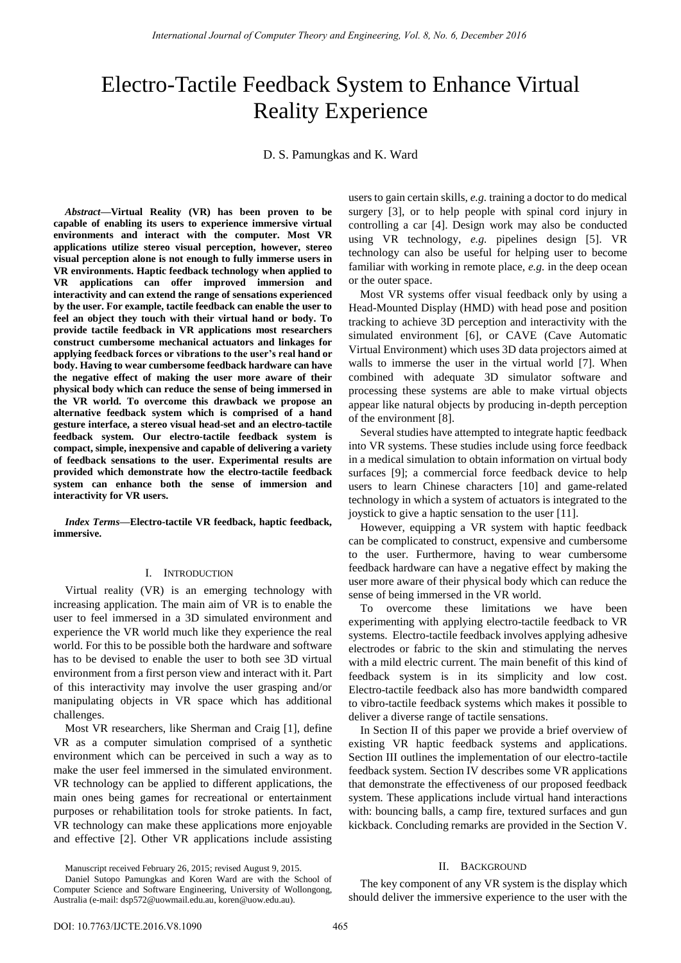# Electro-Tactile Feedback System to Enhance Virtual Reality Experience

D. S. Pamungkas and K. Ward

*Abstract***—Virtual Reality (VR) has been proven to be capable of enabling its users to experience immersive virtual environments and interact with the computer. Most VR applications utilize stereo visual perception, however, stereo visual perception alone is not enough to fully immerse users in VR environments. Haptic feedback technology when applied to VR applications can offer improved immersion and interactivity and can extend the range of sensations experienced by the user. For example, tactile feedback can enable the user to feel an object they touch with their virtual hand or body. To provide tactile feedback in VR applications most researchers construct cumbersome mechanical actuators and linkages for applying feedback forces or vibrations to the user's real hand or body. Having to wear cumbersome feedback hardware can have the negative effect of making the user more aware of their physical body which can reduce the sense of being immersed in the VR world. To overcome this drawback we propose an alternative feedback system which is comprised of a hand gesture interface, a stereo visual head-set and an electro-tactile feedback system. Our electro-tactile feedback system is compact, simple, inexpensive and capable of delivering a variety of feedback sensations to the user. Experimental results are provided which demonstrate how the electro-tactile feedback system can enhance both the sense of immersion and interactivity for VR users.** 

*Index Terms***—Electro-tactile VR feedback, haptic feedback, immersive.** 

## I. INTRODUCTION

Virtual reality (VR) is an emerging technology with increasing application. The main aim of VR is to enable the user to feel immersed in a 3D simulated environment and experience the VR world much like they experience the real world. For this to be possible both the hardware and software has to be devised to enable the user to both see 3D virtual environment from a first person view and interact with it. Part of this interactivity may involve the user grasping and/or manipulating objects in VR space which has additional challenges.

Most VR researchers, like Sherman and Craig [1], define VR as a computer simulation comprised of a synthetic environment which can be perceived in such a way as to make the user feel immersed in the simulated environment. VR technology can be applied to different applications, the main ones being games for recreational or entertainment purposes or rehabilitation tools for stroke patients. In fact, VR technology can make these applications more enjoyable and effective [2]. Other VR applications include assisting

Manuscript received February 26, 2015; revised August 9, 2015.

users to gain certain skills, *e.g.* training a doctor to do medical surgery [3], or to help people with spinal cord injury in controlling a car [4]. Design work may also be conducted using VR technology, *e.g.* pipelines design [5]. VR technology can also be useful for helping user to become familiar with working in remote place, *e.g.* in the deep ocean or the outer space.

Most VR systems offer visual feedback only by using a Head-Mounted Display (HMD) with head pose and position tracking to achieve 3D perception and interactivity with the simulated environment [6], or CAVE (Cave Automatic Virtual Environment) which uses 3D data projectors aimed at walls to immerse the user in the virtual world [7]. When combined with adequate 3D simulator software and processing these systems are able to make virtual objects appear like natural objects by producing in-depth perception of the environment [8].

Several studies have attempted to integrate haptic feedback into VR systems. These studies include using force feedback in a medical simulation to obtain information on virtual body surfaces [9]; a commercial force feedback device to help users to learn Chinese characters [10] and game-related technology in which a system of actuators is integrated to the joystick to give a haptic sensation to the user [11].

However, equipping a VR system with haptic feedback can be complicated to construct, expensive and cumbersome to the user. Furthermore, having to wear cumbersome feedback hardware can have a negative effect by making the user more aware of their physical body which can reduce the sense of being immersed in the VR world.

To overcome these limitations we have been experimenting with applying electro-tactile feedback to VR systems. Electro-tactile feedback involves applying adhesive electrodes or fabric to the skin and stimulating the nerves with a mild electric current. The main benefit of this kind of feedback system is in its simplicity and low cost. Electro-tactile feedback also has more bandwidth compared to vibro-tactile feedback systems which makes it possible to deliver a diverse range of tactile sensations.

In Section II of this paper we provide a brief overview of existing VR haptic feedback systems and applications. Section III outlines the implementation of our electro-tactile feedback system. Section IV describes some VR applications that demonstrate the effectiveness of our proposed feedback system. These applications include virtual hand interactions with: bouncing balls, a camp fire, textured surfaces and gun kickback. Concluding remarks are provided in the Section V.

#### II. BACKGROUND

The key component of any VR system is the display which should deliver the immersive experience to the user with the

Daniel Sutopo Pamungkas and Koren Ward are with the School of Computer Science and Software Engineering, University of Wollongong, Australia (e-mail: dsp572@uowmail.edu.au, koren@uow.edu.au).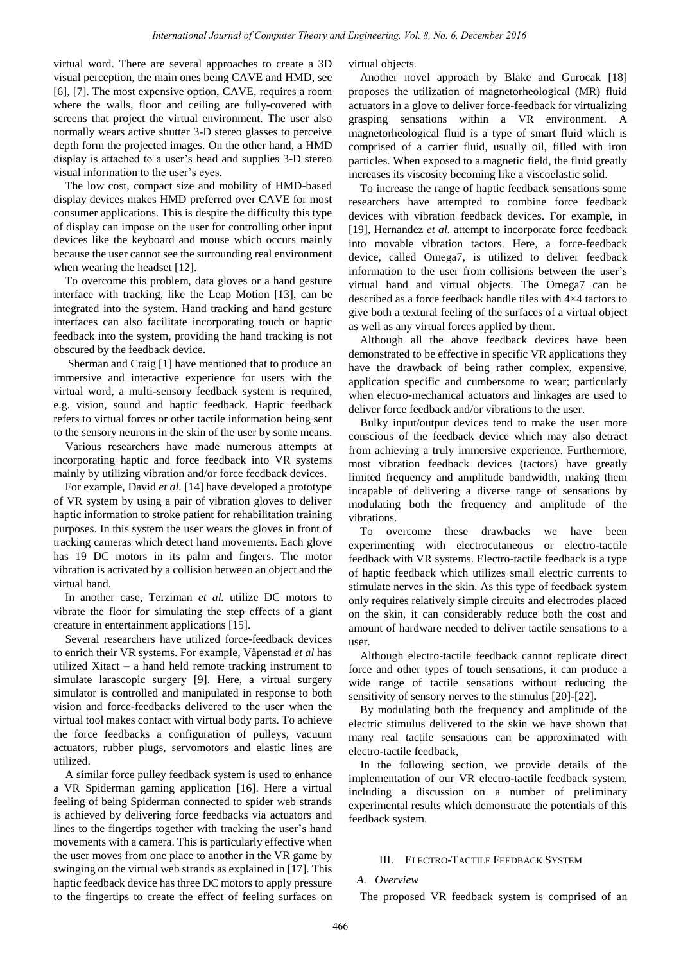virtual word. There are several approaches to create a 3D visual perception, the main ones being CAVE and HMD, see [6], [7]. The most expensive option, CAVE, requires a room where the walls, floor and ceiling are fully-covered with screens that project the virtual environment. The user also normally wears active shutter 3-D stereo glasses to perceive depth form the projected images. On the other hand, a HMD display is attached to a user's head and supplies 3-D stereo visual information to the user's eyes.

The low cost, compact size and mobility of HMD-based display devices makes HMD preferred over CAVE for most consumer applications. This is despite the difficulty this type of display can impose on the user for controlling other input devices like the keyboard and mouse which occurs mainly because the user cannot see the surrounding real environment when wearing the headset [12].

To overcome this problem, data gloves or a hand gesture interface with tracking, like the Leap Motion [13], can be integrated into the system. Hand tracking and hand gesture interfaces can also facilitate incorporating touch or haptic feedback into the system, providing the hand tracking is not obscured by the feedback device.

 Sherman and Craig [1] have mentioned that to produce an immersive and interactive experience for users with the virtual word, a multi-sensory feedback system is required, e.g. vision, sound and haptic feedback. Haptic feedback refers to virtual forces or other tactile information being sent to the sensory neurons in the skin of the user by some means.

Various researchers have made numerous attempts at incorporating haptic and force feedback into VR systems mainly by utilizing vibration and/or force feedback devices.

For example, David *et al.* [14] have developed a prototype of VR system by using a pair of vibration gloves to deliver haptic information to stroke patient for rehabilitation training purposes. In this system the user wears the gloves in front of tracking cameras which detect hand movements. Each glove has 19 DC motors in its palm and fingers. The motor vibration is activated by a collision between an object and the virtual hand.

In another case, Terziman *et al.* utilize DC motors to vibrate the floor for simulating the step effects of a giant creature in entertainment applications [15].

Several researchers have utilized force-feedback devices to enrich their VR systems. For example, Våpenstad *et al* has utilized Xitact – a hand held remote tracking instrument to simulate larascopic surgery [9]. Here, a virtual surgery simulator is controlled and manipulated in response to both vision and force-feedbacks delivered to the user when the virtual tool makes contact with virtual body parts. To achieve the force feedbacks a configuration of pulleys, vacuum actuators, rubber plugs, servomotors and elastic lines are utilized.

A similar force pulley feedback system is used to enhance a VR Spiderman gaming application [16]. Here a virtual feeling of being Spiderman connected to spider web strands is achieved by delivering force feedbacks via actuators and lines to the fingertips together with tracking the user's hand movements with a camera. This is particularly effective when the user moves from one place to another in the VR game by swinging on the virtual web strands as explained in [17]. This haptic feedback device has three DC motors to apply pressure to the fingertips to create the effect of feeling surfaces on virtual objects.

Another novel approach by Blake and Gurocak [18] proposes the utilization of magnetorheological (MR) fluid actuators in a glove to deliver force-feedback for virtualizing grasping sensations within a VR environment. A magnetorheological fluid is a type of smart fluid which is comprised of a carrier fluid, usually oil, filled with iron particles. When exposed to a magnetic field, the fluid greatly increases its viscosity becoming like a viscoelastic solid.

To increase the range of haptic feedback sensations some researchers have attempted to combine force feedback devices with vibration feedback devices. For example, in [19], Hernandez *et al.* attempt to incorporate force feedback into movable vibration tactors. Here, a force-feedback device, called Omega7, is utilized to deliver feedback information to the user from collisions between the user's virtual hand and virtual objects. The Omega7 can be described as a force feedback handle tiles with 4×4 tactors to give both a textural feeling of the surfaces of a virtual object as well as any virtual forces applied by them.

Although all the above feedback devices have been demonstrated to be effective in specific VR applications they have the drawback of being rather complex, expensive, application specific and cumbersome to wear; particularly when electro-mechanical actuators and linkages are used to deliver force feedback and/or vibrations to the user.

Bulky input/output devices tend to make the user more conscious of the feedback device which may also detract from achieving a truly immersive experience. Furthermore, most vibration feedback devices (tactors) have greatly limited frequency and amplitude bandwidth, making them incapable of delivering a diverse range of sensations by modulating both the frequency and amplitude of the vibrations.

To overcome these drawbacks we have been experimenting with electrocutaneous or electro-tactile feedback with VR systems. Electro-tactile feedback is a type of haptic feedback which utilizes small electric currents to stimulate nerves in the skin. As this type of feedback system only requires relatively simple circuits and electrodes placed on the skin, it can considerably reduce both the cost and amount of hardware needed to deliver tactile sensations to a user.

Although electro-tactile feedback cannot replicate direct force and other types of touch sensations, it can produce a wide range of tactile sensations without reducing the sensitivity of sensory nerves to the stimulus [20]-[22].

By modulating both the frequency and amplitude of the electric stimulus delivered to the skin we have shown that many real tactile sensations can be approximated with electro-tactile feedback,

In the following section, we provide details of the implementation of our VR electro-tactile feedback system, including a discussion on a number of preliminary experimental results which demonstrate the potentials of this feedback system.

## III. ELECTRO-TACTILE FEEDBACK SYSTEM

## *A. Overview*

The proposed VR feedback system is comprised of an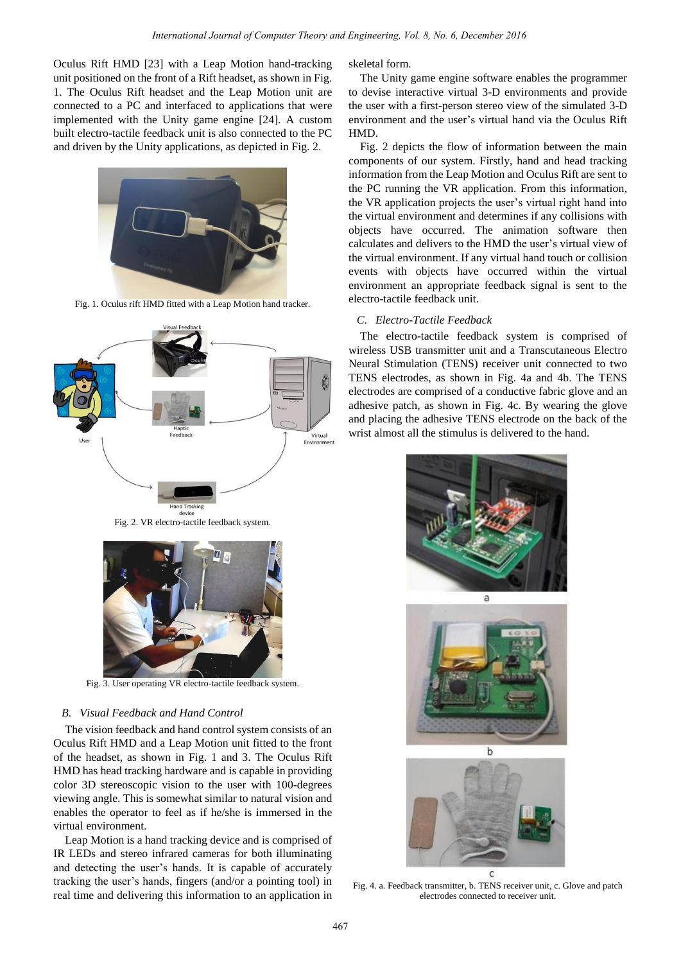Oculus Rift HMD [23] with a Leap Motion hand-tracking unit positioned on the front of a Rift headset, as shown in Fig. 1. The Oculus Rift headset and the Leap Motion unit are connected to a PC and interfaced to applications that were implemented with the Unity game engine [24]. A custom built electro-tactile feedback unit is also connected to the PC and driven by the Unity applications, as depicted in Fig. 2.



Fig. 1. Oculus rift HMD fitted with a Leap Motion hand tracker.



Fig. 2. VR electro-tactile feedback system.



Fig. 3. User operating VR electro-tactile feedback system.

## *B. Visual Feedback and Hand Control*

The vision feedback and hand control system consists of an Oculus Rift HMD and a Leap Motion unit fitted to the front of the headset, as shown in Fig. 1 and 3. The Oculus Rift HMD has head tracking hardware and is capable in providing color 3D stereoscopic vision to the user with 100-degrees viewing angle. This is somewhat similar to natural vision and enables the operator to feel as if he/she is immersed in the virtual environment.

Leap Motion is a hand tracking device and is comprised of IR LEDs and stereo infrared cameras for both illuminating and detecting the user's hands. It is capable of accurately tracking the user's hands, fingers (and/or a pointing tool) in real time and delivering this information to an application in skeletal form.

The Unity game engine software enables the programmer to devise interactive virtual 3-D environments and provide the user with a first-person stereo view of the simulated 3-D environment and the user's virtual hand via the Oculus Rift HMD.

Fig. 2 depicts the flow of information between the main components of our system. Firstly, hand and head tracking information from the Leap Motion and Oculus Rift are sent to the PC running the VR application. From this information, the VR application projects the user's virtual right hand into the virtual environment and determines if any collisions with objects have occurred. The animation software then calculates and delivers to the HMD the user's virtual view of the virtual environment. If any virtual hand touch or collision events with objects have occurred within the virtual environment an appropriate feedback signal is sent to the electro-tactile feedback unit.

# *C. Electro-Tactile Feedback*

The electro-tactile feedback system is comprised of wireless USB transmitter unit and a Transcutaneous Electro Neural Stimulation (TENS) receiver unit connected to two TENS electrodes, as shown in Fig. 4a and 4b. The TENS electrodes are comprised of a conductive fabric glove and an adhesive patch, as shown in Fig. 4c. By wearing the glove and placing the adhesive TENS electrode on the back of the wrist almost all the stimulus is delivered to the hand.







Fig. 4. a. Feedback transmitter, b. TENS receiver unit, c. Glove and patch electrodes connected to receiver unit.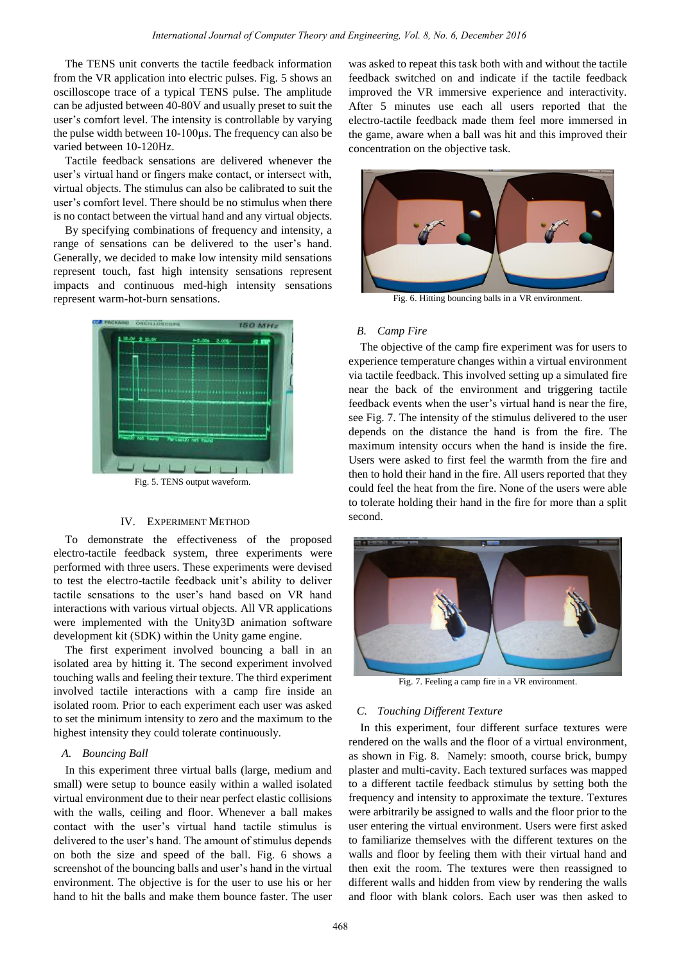The TENS unit converts the tactile feedback information from the VR application into electric pulses. Fig. 5 shows an oscilloscope trace of a typical TENS pulse. The amplitude can be adjusted between 40-80V and usually preset to suit the user's comfort level. The intensity is controllable by varying the pulse width between 10-100μs. The frequency can also be varied between 10-120Hz.

Tactile feedback sensations are delivered whenever the user's virtual hand or fingers make contact, or intersect with, virtual objects. The stimulus can also be calibrated to suit the user's comfort level. There should be no stimulus when there is no contact between the virtual hand and any virtual objects.

By specifying combinations of frequency and intensity, a range of sensations can be delivered to the user's hand. Generally, we decided to make low intensity mild sensations represent touch, fast high intensity sensations represent impacts and continuous med-high intensity sensations represent warm-hot-burn sensations.



#### IV. EXPERIMENT METHOD

To demonstrate the effectiveness of the proposed electro-tactile feedback system, three experiments were performed with three users. These experiments were devised to test the electro-tactile feedback unit's ability to deliver tactile sensations to the user's hand based on VR hand interactions with various virtual objects. All VR applications were implemented with the Unity3D animation software development kit (SDK) within the Unity game engine.

The first experiment involved bouncing a ball in an isolated area by hitting it. The second experiment involved touching walls and feeling their texture. The third experiment involved tactile interactions with a camp fire inside an isolated room. Prior to each experiment each user was asked to set the minimum intensity to zero and the maximum to the highest intensity they could tolerate continuously.

## *A. Bouncing Ball*

In this experiment three virtual balls (large, medium and small) were setup to bounce easily within a walled isolated virtual environment due to their near perfect elastic collisions with the walls, ceiling and floor. Whenever a ball makes contact with the user's virtual hand tactile stimulus is delivered to the user's hand. The amount of stimulus depends on both the size and speed of the ball. Fig. 6 shows a screenshot of the bouncing balls and user's hand in the virtual environment. The objective is for the user to use his or her hand to hit the balls and make them bounce faster. The user

was asked to repeat this task both with and without the tactile feedback switched on and indicate if the tactile feedback improved the VR immersive experience and interactivity. After 5 minutes use each all users reported that the electro-tactile feedback made them feel more immersed in the game, aware when a ball was hit and this improved their concentration on the objective task.



Fig. 6. Hitting bouncing balls in a VR environment.

# *B. Camp Fire*

The objective of the camp fire experiment was for users to experience temperature changes within a virtual environment via tactile feedback. This involved setting up a simulated fire near the back of the environment and triggering tactile feedback events when the user's virtual hand is near the fire, see Fig. 7. The intensity of the stimulus delivered to the user depends on the distance the hand is from the fire. The maximum intensity occurs when the hand is inside the fire. Users were asked to first feel the warmth from the fire and then to hold their hand in the fire. All users reported that they could feel the heat from the fire. None of the users were able to tolerate holding their hand in the fire for more than a split second.



Fig. 7. Feeling a camp fire in a VR environment.

## *C. Touching Different Texture*

In this experiment, four different surface textures were rendered on the walls and the floor of a virtual environment, as shown in Fig. 8. Namely: smooth, course brick, bumpy plaster and multi-cavity. Each textured surfaces was mapped to a different tactile feedback stimulus by setting both the frequency and intensity to approximate the texture. Textures were arbitrarily be assigned to walls and the floor prior to the user entering the virtual environment. Users were first asked to familiarize themselves with the different textures on the walls and floor by feeling them with their virtual hand and then exit the room. The textures were then reassigned to different walls and hidden from view by rendering the walls and floor with blank colors. Each user was then asked to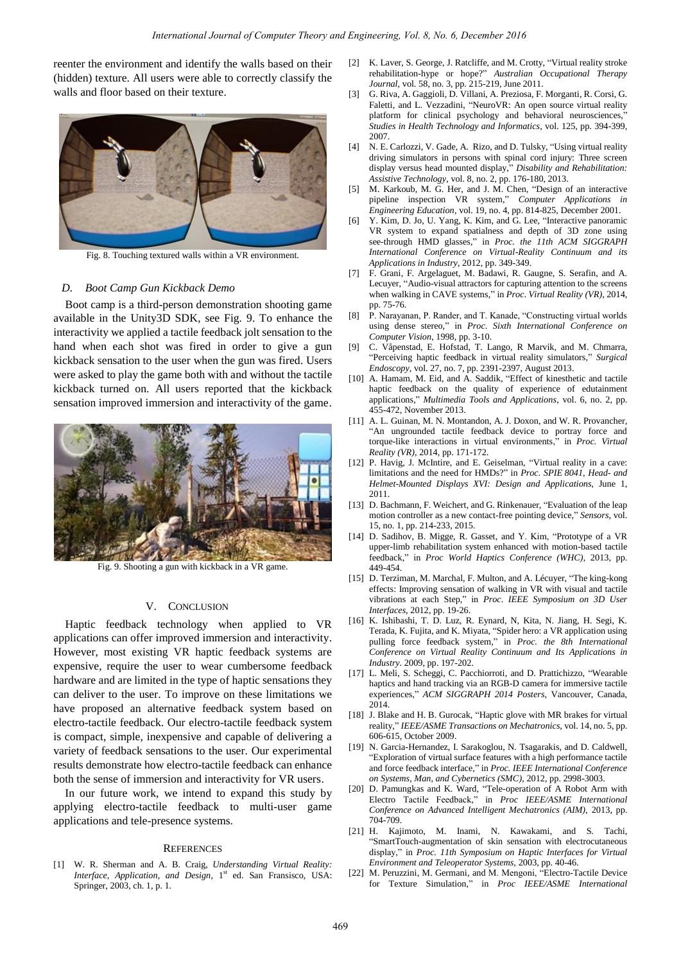reenter the environment and identify the walls based on their (hidden) texture. All users were able to correctly classify the walls and floor based on their texture.



Fig. 8. Touching textured walls within a VR environment.

#### *D. Boot Camp Gun Kickback Demo*

Boot camp is a third-person demonstration shooting game available in the Unity3D SDK, see Fig. 9. To enhance the interactivity we applied a tactile feedback jolt sensation to the hand when each shot was fired in order to give a gun kickback sensation to the user when the gun was fired. Users were asked to play the game both with and without the tactile kickback turned on. All users reported that the kickback sensation improved immersion and interactivity of the game.



Fig. 9. Shooting a gun with kickback in a VR game.

# V. CONCLUSION

Haptic feedback technology when applied to VR applications can offer improved immersion and interactivity. However, most existing VR haptic feedback systems are expensive, require the user to wear cumbersome feedback hardware and are limited in the type of haptic sensations they can deliver to the user. To improve on these limitations we have proposed an alternative feedback system based on electro-tactile feedback. Our electro-tactile feedback system is compact, simple, inexpensive and capable of delivering a variety of feedback sensations to the user. Our experimental results demonstrate how electro-tactile feedback can enhance both the sense of immersion and interactivity for VR users.

In our future work, we intend to expand this study by applying electro-tactile feedback to multi-user game applications and tele-presence systems.

#### **REFERENCES**

[1] W. R. Sherman and A. B. Craig, *Understanding Virtual Reality: Interface, Application, and Design, 1<sup>st</sup> ed. San Fransisco, USA:* Springer, 2003, ch. 1, p. 1.

- [2] K. Laver, S. George, J. Ratcliffe, and M. Crotty, "Virtual reality stroke rehabilitation-hype or hope?" *Australian Occupational Therapy Journal,* [vol. 58, no. 3,](http://onlinelibrary.wiley.com.ezproxy.uow.edu.au/doi/10.1111/aot.2011.58.issue-3/issuetoc) pp. 215-219, June 2011.
- [3] G. Riva, A. Gaggioli, D. Villani, A. Preziosa, F. Morganti, R. Corsi, G. Faletti, and L. Vezzadini, "NeuroVR: An open source virtual reality platform for clinical psychology and behavioral neurosciences, *Studies in Health Technology and Informatics,* vol. 125, pp. 394-399, 2007.
- [4] N. E. Carlozzi, V. Gade, A. Rizo, and D. Tulsky, "Using virtual reality driving simulators in persons with spinal cord injury: Three screen display versus head mounted display," *Disability and Rehabilitation: Assistive Technology*, vol. 8, no. 2, pp. 176-180, 2013.
- [5] M. Karkoub, M. G. Her, and J. M. Chen, "Design of an interactive pipeline inspection VR system," *Computer Applications in Engineering Education,* vol. 19, no. 4, pp. 814-825, December 2001.
- [6] Y. Kim, D. Jo, U. Yang, K. Kim, and G. Lee, "Interactive panoramic VR system to expand spatialness and depth of 3D zone using see-through HMD glasses," in *Proc. the 11th ACM SIGGRAPH International Conference on Virtual-Reality Continuum and its Applications in Industry,* 2012, pp. 349-349.
- [7] F. Grani, F. Argelaguet, M. Badawi, R. Gaugne, S. Serafin, and A. Lecuyer, "Audio-visual attractors for capturing attention to the screens when walking in CAVE systems," in *Proc*. *Virtual Reality (VR),* 2014, pp. 75-76.
- [8] P. Narayanan, P. Rander, and T. Kanade, "Constructing virtual worlds using dense stereo," in *Proc*. *Sixth International Conference on Computer Vision*, 1998, pp. 3-10.
- [9] C. Våpenstad, E. Hofstad, T. Lango, R Marvik, and M. Chmarra, "Perceiving haptic feedback in virtual reality simulators," *Surgical Endoscopy,* vol. 27, no. 7, pp. 2391-2397, August 2013.
- [10] A. Hamam, M. Eid, and A. Saddik, "Effect of kinesthetic and tactile haptic feedback on the quality of experience of edutainment applications," *Multimedia Tools and Applications*, vol. 6, no. 2, pp. 455-472, November 2013.
- [11] A. L. Guinan, M. N. Montandon, A. J. Doxon, and W. R. Provancher, "An ungrounded tactile feedback device to portray force and torque-like interactions in virtual environments," in *Proc. Virtual Reality (VR),* 2014*,* pp. 171-172.
- [12] P. [Havig,](http://profiles.spiedigitallibrary.org.ezproxy.uow.edu.au/summary.aspx?DOI=10.1117%2f12.883855&Name=Paul+Havig) J. McIntire, and E. Geiselman, "Virtual reality in a cave: limitations and the need for HMDs?" in *Proc. SPIE 8041, Head- and Helmet-Mounted Displays XVI: Design and Applications*, June 1, 2011.
- [13] D. Bachmann, F. Weichert, and G. Rinkenauer, "Evaluation of the leap motion controller as a new contact-free pointing device," *Sensors*, vol. 15, no. 1, pp. 214-233, 2015.
- [14] D. Sadihov, B. Migge, R. Gasset, and Y. Kim, "Prototype of a VR upper-limb rehabilitation system enhanced with motion-based tactile feedback," in *Proc World Haptics Conference (WHC)*, 2013, pp. 449-454.
- [15] D. Terziman, M. Marchal, F. Multon, and A. Lécuyer, "The king-kong effects: Improving sensation of walking in VR with visual and tactile vibrations at each Step," in *Proc*. *IEEE Symposium on 3D User Interfaces,* 2012, pp. 19-26.
- [16] K. Ishibashi, T. D. Luz, R. Eynard, N, Kita, N. Jiang, H. Segi, K. Terada, K. Fujita, and K. Miyata, "Spider hero: a VR application using pulling force feedback system," in *Proc. the 8th International Conference on Virtual Reality Continuum and Its Applications in Industry.* 2009, pp. 197-202.
- [17] L. Meli, S. Scheggi, C. Pacchiorroti, and D. Prattichizzo, "Wearable haptics and hand tracking via an RGB-D camera for immersive tactile experiences," *ACM SIGGRAPH 2014 Posters*, Vancouver, Canada, 2014.
- [18] J. Blake and H. B. Gurocak, "Haptic glove with MR brakes for virtual reality," *IEEE/ASME Transactions on Mechatronics,* vol. 14, no. 5, pp. 606-615, October 2009.
- [19] N. Garcia-Hernandez, I. Sarakoglou, N. Tsagarakis, and D. Caldwell, "Exploration of virtual surface features with a high performance tactile and force feedback interface," in *Proc. IEEE International Conference on Systems, Man, and Cybernetics (SMC),* 2012, pp. 2998-3003.
- [20] D. Pamungkas and K. Ward, "Tele-operation of A Robot Arm with Electro Tactile Feedback," in *Proc IEEE/ASME International Conference on Advanced Intelligent Mechatronics (AIM),* 2013, pp. 704-709.
- [21] H. Kajimoto, M. Inami, N. Kawakami, and S. Tachi, "SmartTouch-augmentation of skin sensation with electrocutaneous display," in *Proc. 11th Symposium on Haptic Interfaces for Virtual Environment and Teleoperator Systems,* 2003, pp. 40-46.
- [22] M. Peruzzini, M. Germani, and M. Mengoni, "Electro-Tactile Device for Texture Simulation," in *Proc IEEE/ASME International*